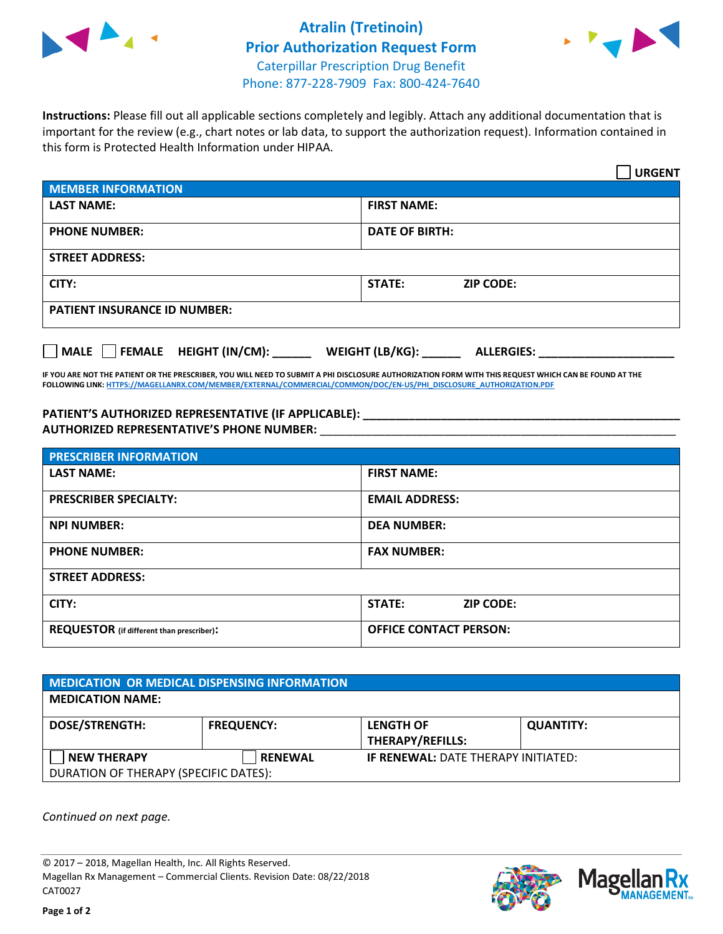

## **Atralin (Tretinoin) Prior Authorization Request Form** Caterpillar Prescription Drug Benefit Phone: 877-228-7909 Fax: 800-424-7640



**Instructions:** Please fill out all applicable sections completely and legibly. Attach any additional documentation that is important for the review (e.g., chart notes or lab data, to support the authorization request). Information contained in this form is Protected Health Information under HIPAA.

|                                       | <b>URGENT</b>                        |  |  |  |
|---------------------------------------|--------------------------------------|--|--|--|
| <b>MEMBER INFORMATION</b>             |                                      |  |  |  |
| <b>LAST NAME:</b>                     | <b>FIRST NAME:</b>                   |  |  |  |
| <b>PHONE NUMBER:</b>                  | <b>DATE OF BIRTH:</b>                |  |  |  |
| <b>STREET ADDRESS:</b>                |                                      |  |  |  |
| CITY:                                 | STATE:<br><b>ZIP CODE:</b>           |  |  |  |
| <b>PATIENT INSURANCE ID NUMBER:</b>   |                                      |  |  |  |
| FEMALE HEIGHT (IN/CM):<br><b>MALE</b> | WEIGHT (LB/KG):<br><b>ALLERGIES:</b> |  |  |  |

**IF YOU ARE NOT THE PATIENT OR THE PRESCRIBER, YOU WILL NEED TO SUBMIT A PHI DISCLOSURE AUTHORIZATION FORM WITH THIS REQUEST WHICH CAN BE FOUND AT THE FOLLOWING LINK[: HTTPS://MAGELLANRX.COM/MEMBER/EXTERNAL/COMMERCIAL/COMMON/DOC/EN-US/PHI\\_DISCLOSURE\\_AUTHORIZATION.PDF](https://magellanrx.com/member/external/commercial/common/doc/en-us/PHI_Disclosure_Authorization.pdf)**

**PATIENT'S AUTHORIZED REPRESENTATIVE (IF APPLICABLE): \_\_\_\_\_\_\_\_\_\_\_\_\_\_\_\_\_\_\_\_\_\_\_\_\_\_\_\_\_\_\_\_\_\_\_\_\_\_\_\_\_\_\_\_\_\_\_\_\_ AUTHORIZED REPRESENTATIVE'S PHONE NUMBER:** \_\_\_\_\_\_\_\_\_\_\_\_\_\_\_\_\_\_\_\_\_\_\_\_\_\_\_\_\_\_\_\_\_\_\_\_\_\_\_\_\_\_\_\_\_\_\_\_\_\_\_\_\_\_\_

| <b>PRESCRIBER INFORMATION</b>             |                               |  |  |
|-------------------------------------------|-------------------------------|--|--|
| <b>LAST NAME:</b>                         | <b>FIRST NAME:</b>            |  |  |
| <b>PRESCRIBER SPECIALTY:</b>              | <b>EMAIL ADDRESS:</b>         |  |  |
| <b>NPI NUMBER:</b>                        | <b>DEA NUMBER:</b>            |  |  |
| <b>PHONE NUMBER:</b>                      | <b>FAX NUMBER:</b>            |  |  |
| <b>STREET ADDRESS:</b>                    |                               |  |  |
| CITY:                                     | STATE:<br><b>ZIP CODE:</b>    |  |  |
| REQUESTOR (if different than prescriber): | <b>OFFICE CONTACT PERSON:</b> |  |  |

| <b>MEDICATION OR MEDICAL DISPENSING INFORMATION</b> |                   |                                            |                  |  |  |
|-----------------------------------------------------|-------------------|--------------------------------------------|------------------|--|--|
| <b>MEDICATION NAME:</b>                             |                   |                                            |                  |  |  |
| <b>DOSE/STRENGTH:</b>                               | <b>FREQUENCY:</b> | <b>LENGTH OF</b>                           | <b>QUANTITY:</b> |  |  |
|                                                     |                   | <b>THERAPY/REFILLS:</b>                    |                  |  |  |
| <b>NEW THERAPY</b>                                  | <b>RENEWAL</b>    | <b>IF RENEWAL: DATE THERAPY INITIATED:</b> |                  |  |  |
| DURATION OF THERAPY (SPECIFIC DATES):               |                   |                                            |                  |  |  |

*Continued on next page.*

© 2017 – 2018, Magellan Health, Inc. All Rights Reserved. Magellan Rx Management – Commercial Clients. Revision Date: 08/22/2018 CAT0027